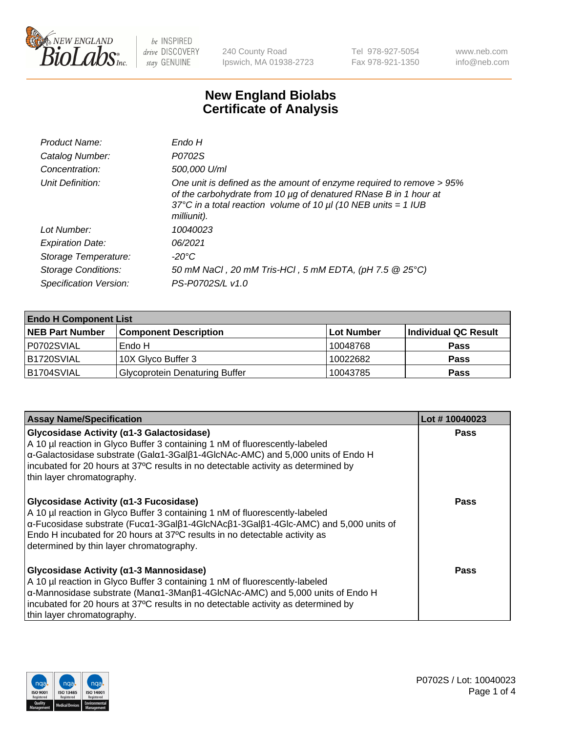

240 County Road Ipswich, MA 01938-2723 Tel 978-927-5054 Fax 978-921-1350 www.neb.com info@neb.com

## **New England Biolabs Certificate of Analysis**

| Product Name:              | Endo H                                                                                                                                                                                                                         |
|----------------------------|--------------------------------------------------------------------------------------------------------------------------------------------------------------------------------------------------------------------------------|
| Catalog Number:            | P0702S                                                                                                                                                                                                                         |
| Concentration:             | 500,000 U/ml                                                                                                                                                                                                                   |
| Unit Definition:           | One unit is defined as the amount of enzyme required to remove > 95%<br>of the carbohydrate from 10 µg of denatured RNase B in 1 hour at<br>37°C in a total reaction volume of 10 $\mu$ l (10 NEB units = 1 IUB<br>milliunit). |
| Lot Number:                | 10040023                                                                                                                                                                                                                       |
| <b>Expiration Date:</b>    | 06/2021                                                                                                                                                                                                                        |
| Storage Temperature:       | -20°C                                                                                                                                                                                                                          |
| <b>Storage Conditions:</b> | 50 mM NaCl, 20 mM Tris-HCl, 5 mM EDTA, (pH 7.5 @ 25°C)                                                                                                                                                                         |
| Specification Version:     | PS-P0702S/L v1.0                                                                                                                                                                                                               |

| <b>Endo H Component List</b> |                                       |             |                      |  |
|------------------------------|---------------------------------------|-------------|----------------------|--|
| <b>NEB Part Number</b>       | <b>Component Description</b>          | ∣Lot Number | Individual QC Result |  |
| P0702SVIAL                   | Endo H                                | 10048768    | <b>Pass</b>          |  |
| B1720SVIAL                   | 10X Glyco Buffer 3                    | 10022682    | <b>Pass</b>          |  |
| B1704SVIAL                   | <b>Glycoprotein Denaturing Buffer</b> | 10043785    | <b>Pass</b>          |  |

| <b>Assay Name/Specification</b>                                                                                                                                                                                                                                                                                                                                                         | Lot #10040023 |
|-----------------------------------------------------------------------------------------------------------------------------------------------------------------------------------------------------------------------------------------------------------------------------------------------------------------------------------------------------------------------------------------|---------------|
| Glycosidase Activity (a1-3 Galactosidase)<br>A 10 µl reaction in Glyco Buffer 3 containing 1 nM of fluorescently-labeled<br>α-Galactosidase substrate (Galα1-3Galβ1-4GlcNAc-AMC) and 5,000 units of Endo H<br>incubated for 20 hours at 37°C results in no detectable activity as determined by<br>thin layer chromatography.                                                           | <b>Pass</b>   |
| Glycosidase Activity ( $\alpha$ 1-3 Fucosidase)<br>A 10 µl reaction in Glyco Buffer 3 containing 1 nM of fluorescently-labeled<br>$\alpha$ -Fucosidase substrate (Fuc $\alpha$ 1-3Gal $\beta$ 1-4GlcNAc $\beta$ 1-3Gal $\beta$ 1-4Glc-AMC) and 5,000 units of<br>Endo H incubated for 20 hours at 37°C results in no detectable activity as<br>determined by thin layer chromatography. | Pass          |
| Glycosidase Activity (α1-3 Mannosidase)<br>A 10 µl reaction in Glyco Buffer 3 containing 1 nM of fluorescently-labeled<br>$\alpha$ -Mannosidase substrate (Man $\alpha$ 1-3Man $\beta$ 1-4GlcNAc-AMC) and 5,000 units of Endo H<br>incubated for 20 hours at 37°C results in no detectable activity as determined by<br>thin layer chromatography.                                      | Pass          |

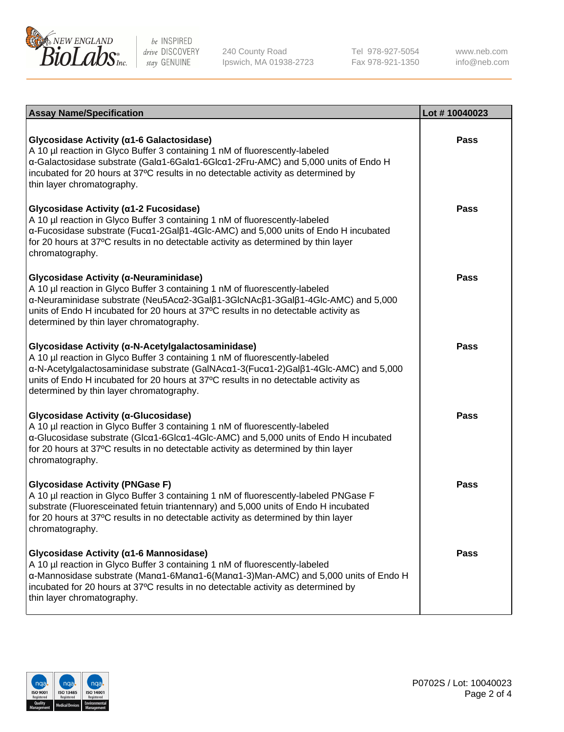

240 County Road Ipswich, MA 01938-2723 Tel 978-927-5054 Fax 978-921-1350

www.neb.com info@neb.com

| <b>Assay Name/Specification</b>                                                                                                                                                                                                                                                                                                                             | Lot #10040023 |
|-------------------------------------------------------------------------------------------------------------------------------------------------------------------------------------------------------------------------------------------------------------------------------------------------------------------------------------------------------------|---------------|
| Glycosidase Activity (α1-6 Galactosidase)<br>A 10 µl reaction in Glyco Buffer 3 containing 1 nM of fluorescently-labeled<br>α-Galactosidase substrate (Galα1-6Galα1-6Glcα1-2Fru-AMC) and 5,000 units of Endo H<br>incubated for 20 hours at 37°C results in no detectable activity as determined by<br>thin layer chromatography.                           | Pass          |
| Glycosidase Activity (α1-2 Fucosidase)<br>A 10 µl reaction in Glyco Buffer 3 containing 1 nM of fluorescently-labeled<br>α-Fucosidase substrate (Fucα1-2Galβ1-4Glc-AMC) and 5,000 units of Endo H incubated<br>for 20 hours at 37°C results in no detectable activity as determined by thin layer<br>chromatography.                                        | Pass          |
| Glycosidase Activity (α-Neuraminidase)<br>A 10 µl reaction in Glyco Buffer 3 containing 1 nM of fluorescently-labeled<br>α-Neuraminidase substrate (Neu5Acα2-3Galβ1-3GlcNAcβ1-3Galβ1-4Glc-AMC) and 5,000<br>units of Endo H incubated for 20 hours at 37°C results in no detectable activity as<br>determined by thin layer chromatography.                 | Pass          |
| Glycosidase Activity (α-N-Acetylgalactosaminidase)<br>A 10 µl reaction in Glyco Buffer 3 containing 1 nM of fluorescently-labeled<br>α-N-Acetylgalactosaminidase substrate (GalNAcα1-3(Fucα1-2)Galβ1-4Glc-AMC) and 5,000<br>units of Endo H incubated for 20 hours at 37°C results in no detectable activity as<br>determined by thin layer chromatography. | <b>Pass</b>   |
| Glycosidase Activity (α-Glucosidase)<br>A 10 µl reaction in Glyco Buffer 3 containing 1 nM of fluorescently-labeled<br>α-Glucosidase substrate (Glcα1-6Glcα1-4Glc-AMC) and 5,000 units of Endo H incubated<br>for 20 hours at 37°C results in no detectable activity as determined by thin layer<br>chromatography.                                         | <b>Pass</b>   |
| <b>Glycosidase Activity (PNGase F)</b><br>A 10 µl reaction in Glyco Buffer 3 containing 1 nM of fluorescently-labeled PNGase F<br>substrate (Fluoresceinated fetuin triantennary) and 5,000 units of Endo H incubated<br>for 20 hours at 37°C results in no detectable activity as determined by thin layer<br>chromatography.                              | Pass          |
| Glycosidase Activity (α1-6 Mannosidase)<br>A 10 µl reaction in Glyco Buffer 3 containing 1 nM of fluorescently-labeled<br>α-Mannosidase substrate (Μanα1-6Μanα1-6(Μanα1-3)Man-AMC) and 5,000 units of Endo H<br>incubated for 20 hours at 37°C results in no detectable activity as determined by<br>thin layer chromatography.                             | Pass          |

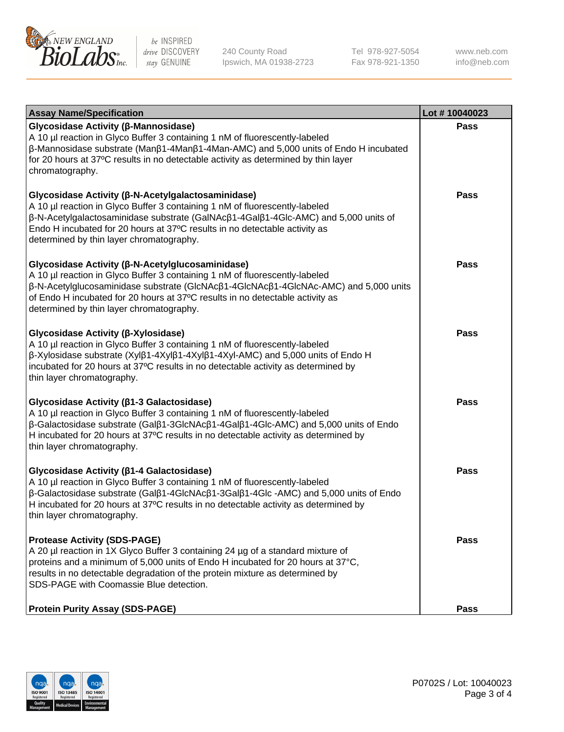

240 County Road Ipswich, MA 01938-2723 Tel 978-927-5054 Fax 978-921-1350 www.neb.com info@neb.com

| <b>Assay Name/Specification</b>                                                                                                                                                                                                                                                                                                                                      | Lot #10040023 |
|----------------------------------------------------------------------------------------------------------------------------------------------------------------------------------------------------------------------------------------------------------------------------------------------------------------------------------------------------------------------|---------------|
| Glycosidase Activity (β-Mannosidase)<br>A 10 µl reaction in Glyco Buffer 3 containing 1 nM of fluorescently-labeled<br>β-Mannosidase substrate (Manβ1-4Manβ1-4Man-AMC) and 5,000 units of Endo H incubated<br>for 20 hours at 37°C results in no detectable activity as determined by thin layer<br>chromatography.                                                  | Pass          |
| Glycosidase Activity (β-N-Acetylgalactosaminidase)<br>A 10 µl reaction in Glyco Buffer 3 containing 1 nM of fluorescently-labeled<br>β-N-Acetylgalactosaminidase substrate (GalNAcβ1-4Galβ1-4Glc-AMC) and 5,000 units of<br>Endo H incubated for 20 hours at 37°C results in no detectable activity as<br>determined by thin layer chromatography.                   | <b>Pass</b>   |
| Glycosidase Activity (β-N-Acetylglucosaminidase)<br>A 10 µl reaction in Glyco Buffer 3 containing 1 nM of fluorescently-labeled<br>β-N-Acetylglucosaminidase substrate (GlcNAcβ1-4GlcNAcβ1-4GlcNAc-AMC) and 5,000 units<br>of Endo H incubated for 20 hours at 37°C results in no detectable activity as<br>determined by thin layer chromatography.                 | <b>Pass</b>   |
| Glycosidase Activity (β-Xylosidase)<br>A 10 µl reaction in Glyco Buffer 3 containing 1 nM of fluorescently-labeled<br>β-Xylosidase substrate (Xylβ1-4Xylβ1-4Xylβ1-4Xyl-AMC) and 5,000 units of Endo H<br>incubated for 20 hours at 37°C results in no detectable activity as determined by<br>thin layer chromatography.                                             | <b>Pass</b>   |
| Glycosidase Activity (β1-3 Galactosidase)<br>A 10 µl reaction in Glyco Buffer 3 containing 1 nM of fluorescently-labeled<br>$\beta$ -Galactosidase substrate (Gal $\beta$ 1-3GlcNAc $\beta$ 1-4Gal $\beta$ 1-4Glc-AMC) and 5,000 units of Endo<br>H incubated for 20 hours at 37°C results in no detectable activity as determined by<br>thin layer chromatography.  | <b>Pass</b>   |
| Glycosidase Activity (β1-4 Galactosidase)<br>A 10 µl reaction in Glyco Buffer 3 containing 1 nM of fluorescently-labeled<br>$\beta$ -Galactosidase substrate (Gal $\beta$ 1-4GlcNAc $\beta$ 1-3Gal $\beta$ 1-4Glc -AMC) and 5,000 units of Endo<br>H incubated for 20 hours at 37°C results in no detectable activity as determined by<br>thin layer chromatography. | <b>Pass</b>   |
| <b>Protease Activity (SDS-PAGE)</b><br>A 20 µl reaction in 1X Glyco Buffer 3 containing 24 µg of a standard mixture of<br>proteins and a minimum of 5,000 units of Endo H incubated for 20 hours at 37°C,<br>results in no detectable degradation of the protein mixture as determined by<br>SDS-PAGE with Coomassie Blue detection.                                 | Pass          |
| <b>Protein Purity Assay (SDS-PAGE)</b>                                                                                                                                                                                                                                                                                                                               | Pass          |